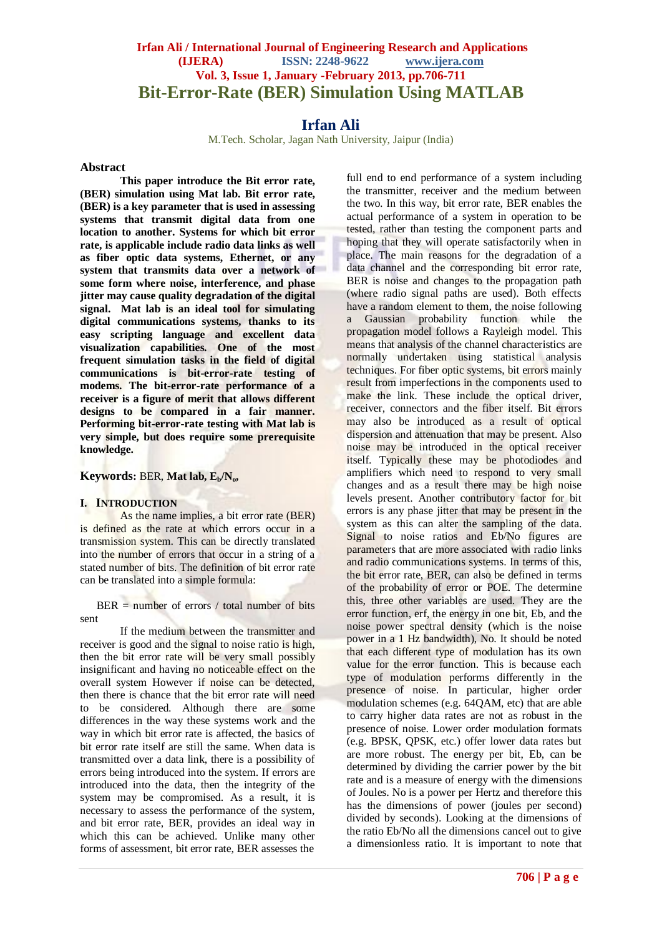## **Irfan Ali / International Journal of Engineering Research and Applications (IJERA) ISSN: 2248-9622 www.ijera.com Vol. 3, Issue 1, January -February 2013, pp.706-711 Bit-Error-Rate (BER) Simulation Using MATLAB**

# **Irfan Ali**

M.Tech. Scholar, Jagan Nath University, Jaipur (India)

#### **Abstract**

**This paper introduce the Bit error rate, (BER) simulation using Mat lab. Bit error rate, (BER) is a key parameter that is used in assessing systems that transmit digital data from one location to another. Systems for which bit error rate, is applicable include radio data links as well as fiber optic data systems, Ethernet, or any system that transmits data over a network of some form where noise, interference, and phase jitter may cause quality degradation of the digital signal. Mat lab is an ideal tool for simulating digital communications systems, thanks to its easy scripting language and excellent data visualization capabilities. One of the most frequent simulation tasks in the field of digital communications is bit-error-rate testing of modems. The bit-error-rate performance of a receiver is a figure of merit that allows different designs to be compared in a fair manner. Performing bit-error-rate testing with Mat lab is very simple, but does require some prerequisite knowledge.**

**Keywords:** BER, **Mat lab, Eb/No,** 

#### **I. INTRODUCTION**

As the name implies, a bit error rate (BER) is defined as the rate at which errors occur in a transmission system. This can be directly translated into the number of errors that occur in a string of a stated number of bits. The definition of bit error rate can be translated into a simple formula:

 $BER = number of errors / total number of bits$ sent

If the medium between the transmitter and receiver is good and the signal to noise ratio is high, then the bit error rate will be very small possibly insignificant and having no noticeable effect on the overall system However if noise can be detected, then there is chance that the bit error rate will need to be considered. Although there are some differences in the way these systems work and the way in which bit error rate is affected, the basics of bit error rate itself are still the same. When data is transmitted over a data link, there is a possibility of errors being introduced into the system. If errors are introduced into the data, then the integrity of the system may be compromised. As a result, it is necessary to assess the performance of the system, and bit error rate, BER, provides an ideal way in which this can be achieved. Unlike many other forms of assessment, bit error rate, BER assesses the full end to end performance of a system including the transmitter, receiver and the medium between the two. In this way, bit error rate, BER enables the actual performance of a system in operation to be tested, rather than testing the component parts and hoping that they will operate satisfactorily when in place. The main reasons for the degradation of a data channel and the corresponding bit error rate, BER is noise and changes to the propagation path (where radio signal paths are used). Both effects have a random element to them, the noise following a Gaussian probability function while the propagation model follows a Rayleigh model. This means that analysis of the channel characteristics are normally undertaken using statistical analysis techniques. For fiber optic systems, bit errors mainly result from imperfections in the components used to make the link. These include the optical driver, receiver, connectors and the fiber itself. Bit errors may also be introduced as a result of optical dispersion and attenuation that may be present. Also noise may be introduced in the optical receiver itself. Typically these may be photodiodes and amplifiers which need to respond to very small changes and as a result there may be high noise levels present. Another contributory factor for bit errors is any phase jitter that may be present in the system as this can alter the sampling of the data. Signal to noise ratios and Eb/No figures are parameters that are more associated with radio links and radio communications systems. In terms of this, the bit error rate, BER, can also be defined in terms of the probability of error or POE. The determine this, three other variables are used. They are the error function, erf, the energy in one bit, Eb, and the noise power spectral density (which is the noise power in a 1 Hz bandwidth), No. It should be noted that each different type of modulation has its own value for the error function. This is because each type of modulation performs differently in the presence of noise. In particular, higher order modulation schemes (e.g. 64QAM, etc) that are able to carry higher data rates are not as robust in the presence of noise. Lower order modulation formats (e.g. BPSK, QPSK, etc.) offer lower data rates but are more robust. The energy per bit, Eb, can be determined by dividing the carrier power by the bit rate and is a measure of energy with the dimensions of Joules. No is a power per Hertz and therefore this has the dimensions of power (joules per second) divided by seconds). Looking at the dimensions of the ratio Eb/No all the dimensions cancel out to give a dimensionless ratio. It is important to note that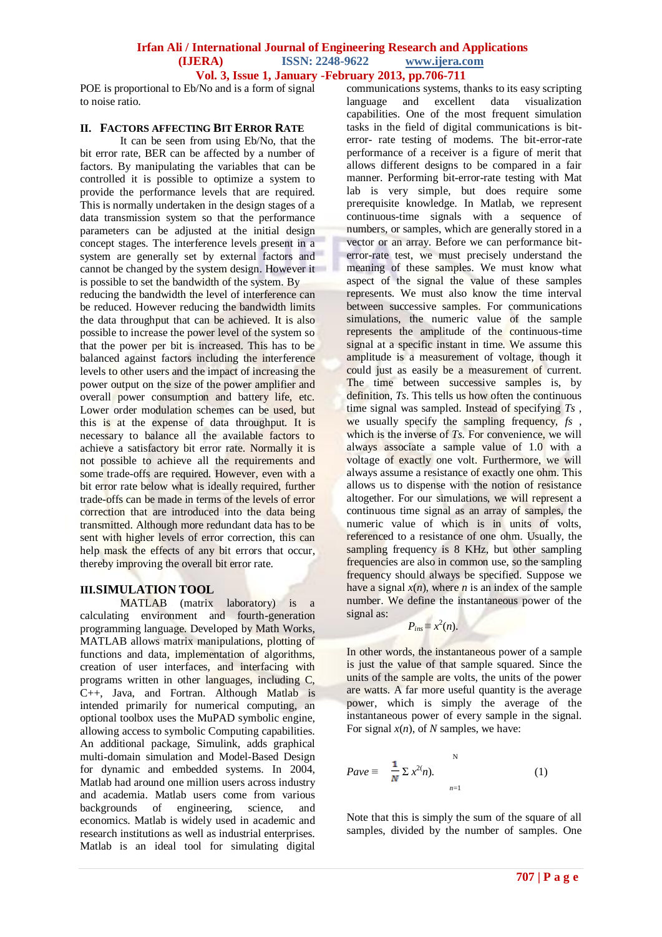## **Irfan Ali / International Journal of Engineering Research and Applications (IJERA) ISSN: 2248-9622 www.ijera.com**

**Vol. 3, Issue 1, January -February 2013, pp.706-711**

POE is proportional to Eb/No and is a form of signal to noise ratio.

#### **II. FACTORS AFFECTING BIT ERROR RATE**

It can be seen from using Eb/No, that the bit error rate, BER can be affected by a number of factors. By manipulating the variables that can be controlled it is possible to optimize a system to provide the performance levels that are required. This is normally undertaken in the design stages of a data transmission system so that the performance parameters can be adjusted at the initial design concept stages. The interference levels present in a system are generally set by external factors and cannot be changed by the system design. However it is possible to set the bandwidth of the system. By

reducing the bandwidth the level of interference can be reduced. However reducing the bandwidth limits the data throughput that can be achieved. It is also possible to increase the power level of the system so that the power per bit is increased. This has to be balanced against factors including the interference levels to other users and the impact of increasing the power output on the size of the power amplifier and overall power consumption and battery life, etc. Lower order modulation schemes can be used, but this is at the expense of data throughput. It is necessary to balance all the available factors to achieve a satisfactory bit error rate. Normally it is not possible to achieve all the requirements and some trade-offs are required. However, even with a bit error rate below what is ideally required, further trade-offs can be made in terms of the levels of error correction that are introduced into the data being transmitted. Although more redundant data has to be sent with higher levels of error correction, this can help mask the effects of any bit errors that occur, thereby improving the overall bit error rate.

#### **III.SIMULATION TOOL**

MATLAB (matrix laboratory) is a calculating environment and fourth-generation programming language. Developed by Math Works, MATLAB allows matrix manipulations, plotting of functions and data, implementation of algorithms, creation of user interfaces, and interfacing with programs written in other languages, including C, C++, Java, and Fortran. Although Matlab is intended primarily for numerical computing, an optional toolbox uses the MuPAD symbolic engine, allowing access to symbolic Computing capabilities. An additional package, Simulink, adds graphical multi-domain simulation and Model-Based Design for dynamic and embedded systems. In 2004, Matlab had around one million users across industry and academia. Matlab users come from various backgrounds of engineering, science, and economics. Matlab is widely used in academic and research institutions as well as industrial enterprises. Matlab is an ideal tool for simulating digital

communications systems, thanks to its easy scripting language and excellent data visualization capabilities. One of the most frequent simulation tasks in the field of digital communications is biterror- rate testing of modems. The bit-error-rate performance of a receiver is a figure of merit that allows different designs to be compared in a fair manner. Performing bit-error-rate testing with Mat lab is very simple, but does require some prerequisite knowledge. In Matlab, we represent continuous-time signals with a sequence of numbers, or samples, which are generally stored in a vector or an array. Before we can performance biterror-rate test, we must precisely understand the meaning of these samples. We must know what aspect of the signal the value of these samples represents. We must also know the time interval between successive samples. For communications simulations, the numeric value of the sample represents the amplitude of the continuous-time signal at a specific instant in time. We assume this amplitude is a measurement of voltage, though it could just as easily be a measurement of current. The time between successive samples is, by definition, *Ts*. This tells us how often the continuous time signal was sampled. Instead of specifying *Ts* , we usually specify the sampling frequency, *fs*, which is the inverse of *Ts*. For convenience, we will always associate a sample value of 1.0 with a voltage of exactly one volt. Furthermore, we will always assume a resistance of exactly one ohm. This allows us to dispense with the notion of resistance altogether. For our simulations, we will represent a continuous time signal as an array of samples, the numeric value of which is in units of volts, referenced to a resistance of one ohm. Usually, the sampling frequency is 8 KHz, but other sampling frequencies are also in common use, so the sampling frequency should always be specified. Suppose we have a signal  $x(n)$ , where *n* is an index of the sample number. We define the instantaneous power of the signal as:

$$
P_{ins} \equiv x^2(n).
$$

In other words, the instantaneous power of a sample is just the value of that sample squared. Since the units of the sample are volts, the units of the power are watts. A far more useful quantity is the average power, which is simply the average of the instantaneous power of every sample in the signal. For signal  $x(n)$ , of *N* samples, we have:

$$
Pave \equiv \frac{1}{N} \sum x^{2(n)}.
$$
 (1)

Note that this is simply the sum of the square of all samples, divided by the number of samples. One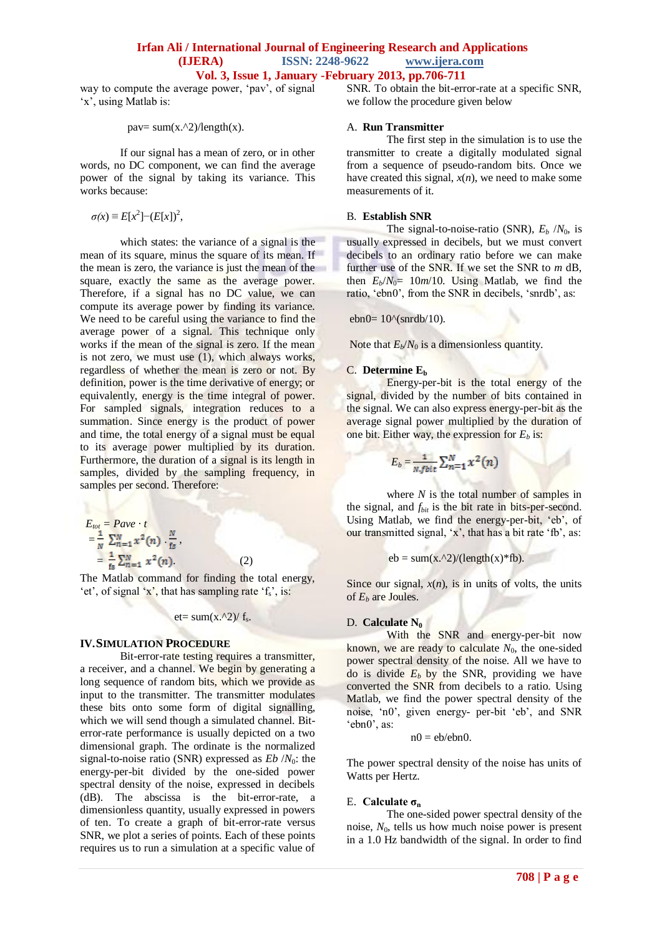# **Irfan Ali / International Journal of Engineering Research and Applications (IJERA) ISSN: 2248-9622 www.ijera.com**

**Vol. 3, Issue 1, January -February 2013, pp.706-711**

way to compute the average power, 'pav', of signal 'x', using Matlab is:

pav=  $sum(x.^2)/length(x)$ .

If our signal has a mean of zero, or in other words, no DC component, we can find the average power of the signal by taking its variance. This works because:

 $\sigma(x) \equiv E[x^2]$  –  $(E[x])^2$ ,

which states: the variance of a signal is the mean of its square, minus the square of its mean. If the mean is zero, the variance is just the mean of the square, exactly the same as the average power. Therefore, if a signal has no DC value, we can compute its average power by finding its variance. We need to be careful using the variance to find the average power of a signal. This technique only works if the mean of the signal is zero. If the mean is not zero, we must use  $(1)$ , which always works, regardless of whether the mean is zero or not. By definition, power is the time derivative of energy; or equivalently, energy is the time integral of power. For sampled signals, integration reduces to a summation. Since energy is the product of power and time, the total energy of a signal must be equal to its average power multiplied by its duration. Furthermore, the duration of a signal is its length in samples, divided by the sampling frequency, in samples per second. Therefore:

$$
E_{tot} = Pave \cdot t
$$
  
=  $\frac{1}{N} \sum_{n=1}^{N} x^{2}(n) \cdot \frac{N}{ts}$ ,  
=  $\frac{1}{fs} \sum_{n=1}^{N} x^{2}(n)$ . (2)

The Matlab command for finding the total energy, "et", of signal  $x'$ , that has sampling rate 'f,', is:

et=  $sum(x.^{2})/ f_s$ .

#### **IV.SIMULATION PROCEDURE**

Bit-error-rate testing requires a transmitter. a receiver, and a channel. We begin by generating a long sequence of random bits, which we provide as input to the transmitter. The transmitter modulates these bits onto some form of digital signalling, which we will send though a simulated channel. Biterror-rate performance is usually depicted on a two dimensional graph. The ordinate is the normalized signal-to-noise ratio (SNR) expressed as *Eb* /*N*0: the energy-per-bit divided by the one-sided power spectral density of the noise, expressed in decibels (dB). The abscissa is the bit-error-rate, a dimensionless quantity, usually expressed in powers of ten. To create a graph of bit-error-rate versus SNR, we plot a series of points. Each of these points requires us to run a simulation at a specific value of

SNR. To obtain the bit-error-rate at a specific SNR, we follow the procedure given below

#### A. **Run Transmitter**

The first step in the simulation is to use the transmitter to create a digitally modulated signal from a sequence of pseudo-random bits. Once we have created this signal,  $x(n)$ , we need to make some measurements of it.

#### B. **Establish SNR**

The signal-to-noise-ratio (SNR),  $E_b$  / $N_0$ , is usually expressed in decibels, but we must convert decibels to an ordinary ratio before we can make further use of the SNR. If we set the SNR to *m* dB, then  $E_b/N_0$ = 10*m*/10. Using Matlab, we find the ratio, 'ebn0', from the SNR in decibels, 'snrdb', as:

ebn0=  $10^{\circ}$ (snrdb/10).

Note that  $E_b/N_0$  is a dimensionless quantity.

#### C. **Determine E<sup>b</sup>**

Energy-per-bit is the total energy of the signal, divided by the number of bits contained in the signal. We can also express energy-per-bit as the average signal power multiplied by the duration of one bit. Either way, the expression for  $E_b$  is:

$$
E_b = \frac{1}{N, \text{bit}} \sum_{n=1}^{N} x^2(n)
$$

where *N* is the total number of samples in the signal, and *fbit* is the bit rate in bits-per-second. Using Matlab, we find the energy-per-bit, 'eb', of our transmitted signal, 'x', that has a bit rate 'fb', as:

$$
eb = sum(x.2)/(length(x)*fb).
$$

Since our signal,  $x(n)$ , is in units of volts, the units of  $E_b$  are Joules.

#### D. **Calculate N<sup>0</sup>**

With the SNR and energy-per-bit now known, we are ready to calculate  $N_0$ , the one-sided power spectral density of the noise. All we have to do is divide  $E_b$  by the SNR, providing we have converted the SNR from decibels to a ratio. Using Matlab, we find the power spectral density of the noise, 'n0', given energy- per-bit 'eb', and SNR 'ebn0', as:

$$
n0 = eb/ebn0.
$$

The power spectral density of the noise has units of Watts per Hertz.

#### E. **Calculate σ<sup>n</sup>**

The one-sided power spectral density of the noise,  $N_0$ , tells us how much noise power is present in a 1.0 Hz bandwidth of the signal. In order to find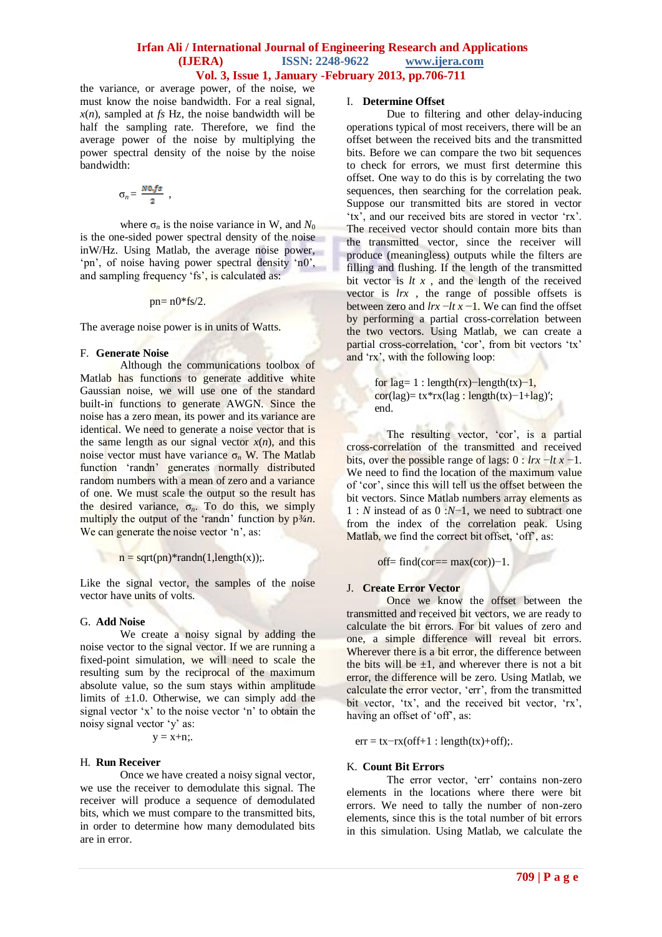#### **Irfan Ali / International Journal of Engineering Research and Applications (IJERA) ISSN: 2248-9622 www.ijera.com Vol. 3, Issue 1, January -February 2013, pp.706-711**

the variance, or average power, of the noise, we must know the noise bandwidth. For a real signal,  $x(n)$ , sampled at *fs* Hz, the noise bandwidth will be half the sampling rate. Therefore, we find the average power of the noise by multiplying the power spectral density of the noise by the noise bandwidth:

$$
\sigma_n = \frac{N0.fs}{2} ,
$$

where  $\sigma_n$  is the noise variance in W, and  $N_0$ is the one-sided power spectral density of the noise inW/Hz. Using Matlab, the average noise power, 'pn', of noise having power spectral density 'n0', and sampling frequency 'fs', is calculated as:

 $pn = n0*fs/2$ .

The average noise power is in units of Watts.

#### F. **Generate Noise**

Although the communications toolbox of Matlab has functions to generate additive white Gaussian noise, we will use one of the standard built-in functions to generate AWGN. Since the noise has a zero mean, its power and its variance are identical. We need to generate a noise vector that is the same length as our signal vector  $x(n)$ , and this noise vector must have variance  $σ<sub>n</sub>$  W. The Matlab function "randn" generates normally distributed random numbers with a mean of zero and a variance of one. We must scale the output so the result has the desired variance, σ*n*. To do this, we simply multiply the output of the 'randn' function by p<sup>3</sup>/*m*. We can generate the noise vector 'n', as:

 $n = sqrt(pn) * randn(1, length(x));$ .

Like the signal vector, the samples of the noise vector have units of volts.

#### G. **Add Noise**

We create a noisy signal by adding the noise vector to the signal vector. If we are running a fixed-point simulation, we will need to scale the resulting sum by the reciprocal of the maximum absolute value, so the sum stays within amplitude limits of  $\pm 1.0$ . Otherwise, we can simply add the signal vector 'x' to the noise vector 'n' to obtain the noisy signal vector "y" as:

 $y = x+n$ ;

#### H. **Run Receiver**

Once we have created a noisy signal vector, we use the receiver to demodulate this signal. The receiver will produce a sequence of demodulated bits, which we must compare to the transmitted bits, in order to determine how many demodulated bits are in error.

### I. **Determine Offset**

Due to filtering and other delay-inducing operations typical of most receivers, there will be an offset between the received bits and the transmitted bits. Before we can compare the two bit sequences to check for errors, we must first determine this offset. One way to do this is by correlating the two sequences, then searching for the correlation peak. Suppose our transmitted bits are stored in vector "tx", and our received bits are stored in vector 'rx'. The received vector should contain more bits than the transmitted vector, since the receiver will produce (meaningless) outputs while the filters are filling and flushing. If the length of the transmitted bit vector is  $lt x$ , and the length of the received vector is *lrx* , the range of possible offsets is between zero and  $\frac{dr}{dx} - \frac{dt}{dx} - \frac{dt}{dx}$  we can find the offset by performing a partial cross-correlation between the two vectors. Using Matlab, we can create a partial cross-correlation, 'cor', from bit vectors 'tx' and 'rx', with the following loop:

> for lag= 1 : length(rx)–length(tx)–1, cor(lag)= tx\*rx(lag : length(tx)−1+lag)′; end.

The resulting vector, 'cor', is a partial cross-correlation of the transmitted and received bits, over the possible range of lags: 0 : *lrx* −*lt x* −1. We need to find the location of the maximum value of "cor", since this will tell us the offset between the bit vectors. Since Matlab numbers array elements as 1 : *N* instead of as 0 :*N*−1, we need to subtract one from the index of the correlation peak. Using Matlab, we find the correct bit offset, 'off', as:

off= find(cor==  $max(cor)$ )−1.

#### J. **Create Error Vector**

Once we know the offset between the transmitted and received bit vectors, we are ready to calculate the bit errors. For bit values of zero and one, a simple difference will reveal bit errors. Wherever there is a bit error, the difference between the bits will be  $\pm 1$ , and wherever there is not a bit error, the difference will be zero. Using Matlab, we calculate the error vector, "err", from the transmitted bit vector, 'tx', and the received bit vector, 'rx', having an offset of 'off', as:

 $err = tx - rx(off+1 : length(tx) + off);$ 

#### K. **Count Bit Errors**

The error vector, 'err' contains non-zero elements in the locations where there were bit errors. We need to tally the number of non-zero elements, since this is the total number of bit errors in this simulation. Using Matlab, we calculate the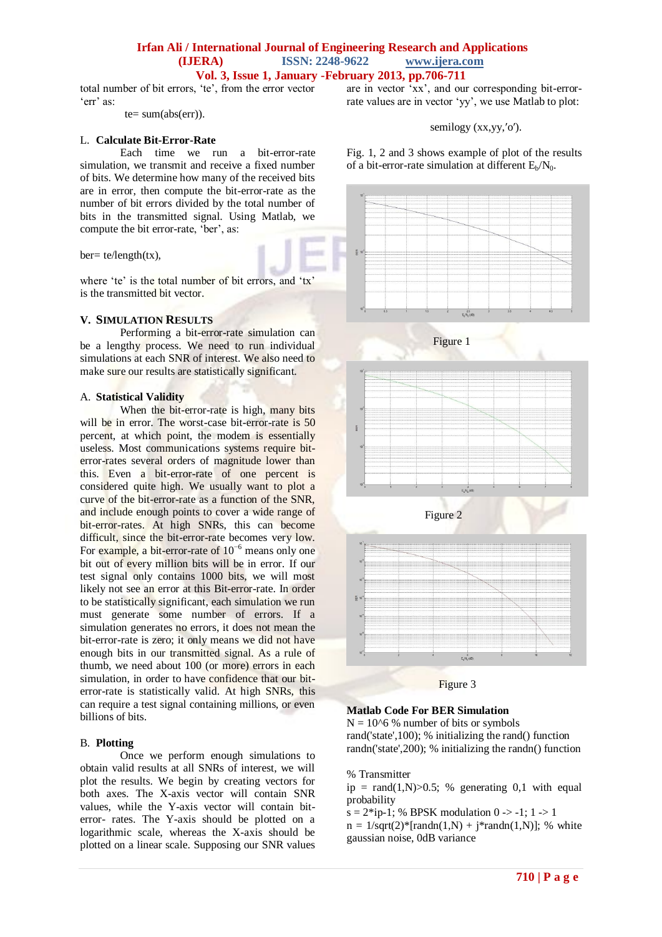#### **Irfan Ali / International Journal of Engineering Research and Applications (IJERA) ISSN: 2248-9622 www.ijera.com Vol. 3, Issue 1, January -February 2013, pp.706-711**

total number of bit errors, "te", from the error vector 'err' as:

 $te = sum(abs(err)).$ 

## L. **Calculate Bit-Error-Rate**

Each time we run a bit-error-rate simulation, we transmit and receive a fixed number of bits. We determine how many of the received bits are in error, then compute the bit-error-rate as the number of bit errors divided by the total number of bits in the transmitted signal. Using Matlab, we compute the bit error-rate, 'ber', as:

 $ber = te/length(tx)$ ,

where 'te' is the total number of bit errors, and 'tx' is the transmitted bit vector.

#### **V. SIMULATION RESULTS**

Performing a bit-error-rate simulation can be a lengthy process. We need to run individual simulations at each SNR of interest. We also need to make sure our results are statistically significant.

#### A. **Statistical Validity**

When the bit-error-rate is high, many bits will be in error. The worst-case bit-error-rate is 50 percent, at which point, the modem is essentially useless. Most communications systems require biterror-rates several orders of magnitude lower than this. Even a bit-error-rate of one percent is considered quite high. We usually want to plot a curve of the bit-error-rate as a function of the SNR, and include enough points to cover a wide range of bit-error-rates. At high SNRs, this can become difficult, since the bit-error-rate becomes very low. For example, a bit-error-rate of 10−6 means only one bit out of every million bits will be in error. If our test signal only contains 1000 bits, we will most likely not see an error at this Bit-error-rate. In order to be statistically significant, each simulation we run must generate some number of errors. If a simulation generates no errors, it does not mean the bit-error-rate is zero; it only means we did not have enough bits in our transmitted signal. As a rule of thumb, we need about 100 (or more) errors in each simulation, in order to have confidence that our biterror-rate is statistically valid. At high SNRs, this can require a test signal containing millions, or even billions of bits.

#### B. **Plotting**

Once we perform enough simulations to obtain valid results at all SNRs of interest, we will plot the results. We begin by creating vectors for both axes. The X-axis vector will contain SNR values, while the Y-axis vector will contain biterror- rates. The Y-axis should be plotted on a logarithmic scale, whereas the X-axis should be plotted on a linear scale. Supposing our SNR values are in vector  $\overline{x}$ , and our corresponding bit-errorrate values are in vector "yy", we use Matlab to plot:

semilogy (xx,yy,′o′).

Fig. 1, 2 and 3 shows example of plot of the results of a bit-error-rate simulation at different  $E_b/N_0$ .



#### **Matlab Code For BER Simulation**

 $N = 10<sup>6</sup>$ % number of bits or symbols rand('state',100); % initializing the rand() function randn('state',200); % initializing the randn() function

% Transmitter

ip = rand $(1,N) > 0.5$ ; % generating 0,1 with equal probability

 $s = 2 * i\mathbf{p} - 1$ ; % BPSK modulation 0 -> -1; 1 -> 1  $n = 1/\sqrt{sqrt(2)*[randn(1,N) + j*randn(1,N)]}$ ; % white gaussian noise, 0dB variance